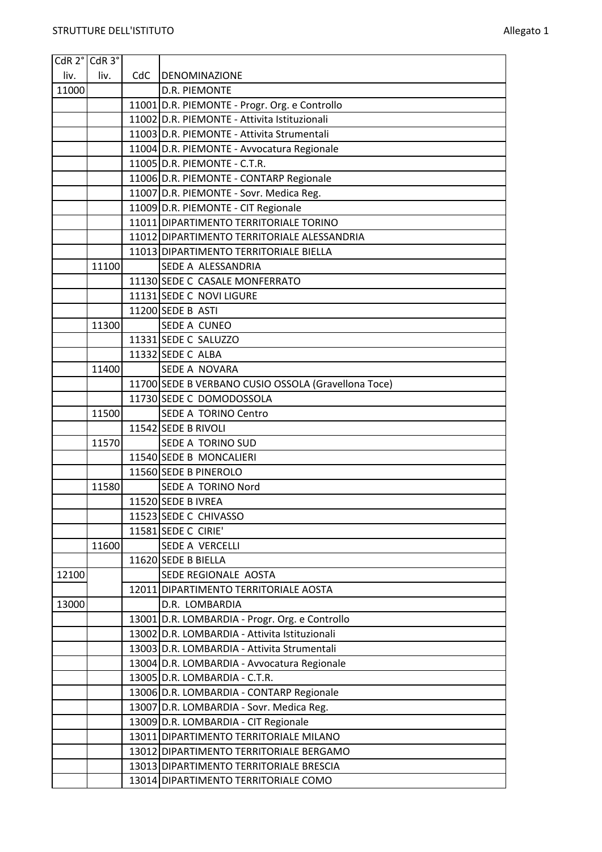|       | CdR 2° CdR 3° |     |                                                     |
|-------|---------------|-----|-----------------------------------------------------|
| liv.  | liv.          | CdC | <b>DENOMINAZIONE</b>                                |
| 11000 |               |     | <b>D.R. PIEMONTE</b>                                |
|       |               |     | 11001 D.R. PIEMONTE - Progr. Org. e Controllo       |
|       |               |     | 11002 D.R. PIEMONTE - Attivita Istituzionali        |
|       |               |     | 11003 D.R. PIEMONTE - Attivita Strumentali          |
|       |               |     | 11004 D.R. PIEMONTE - Avvocatura Regionale          |
|       |               |     | 11005 D.R. PIEMONTE - C.T.R.                        |
|       |               |     | 11006 D.R. PIEMONTE - CONTARP Regionale             |
|       |               |     | 11007 D.R. PIEMONTE - Sovr. Medica Reg.             |
|       |               |     | 11009 D.R. PIEMONTE - CIT Regionale                 |
|       |               |     | 11011 DIPARTIMENTO TERRITORIALE TORINO              |
|       |               |     | 11012 DIPARTIMENTO TERRITORIALE ALESSANDRIA         |
|       |               |     | 11013 DIPARTIMENTO TERRITORIALE BIELLA              |
|       | 11100         |     | SEDE A ALESSANDRIA                                  |
|       |               |     | 11130 SEDE C CASALE MONFERRATO                      |
|       |               |     | 11131 SEDE C NOVI LIGURE                            |
|       |               |     | 11200 SEDE B ASTI                                   |
|       | 11300         |     | <b>SEDE A CUNEO</b>                                 |
|       |               |     | 11331 SEDE C SALUZZO                                |
|       |               |     | 11332 SEDE C ALBA                                   |
|       | 11400         |     | SEDE A NOVARA                                       |
|       |               |     | 11700 SEDE B VERBANO CUSIO OSSOLA (Gravellona Toce) |
|       |               |     | 11730 SEDE C DOMODOSSOLA                            |
|       | 11500         |     | <b>SEDE A TORINO Centro</b>                         |
|       |               |     | 11542 SEDE B RIVOLI                                 |
|       | 11570         |     | SEDE A TORINO SUD                                   |
|       |               |     | 11540 SEDE B MONCALIERI                             |
|       |               |     | 11560 SEDE B PINEROLO                               |
|       | 11580         |     | SEDE A TORINO Nord                                  |
|       |               |     | 11520 SEDE B IVREA                                  |
|       |               |     | 11523 SEDE C CHIVASSO                               |
|       |               |     | 11581 SEDE C CIRIE'                                 |
|       | 11600         |     | SEDE A VERCELLI                                     |
|       |               |     | 11620 SEDE B BIELLA                                 |
| 12100 |               |     | SEDE REGIONALE AOSTA                                |
|       |               |     | 12011 DIPARTIMENTO TERRITORIALE AOSTA               |
| 13000 |               |     | D.R. LOMBARDIA                                      |
|       |               |     | 13001 D.R. LOMBARDIA - Progr. Org. e Controllo      |
|       |               |     | 13002 D.R. LOMBARDIA - Attivita Istituzionali       |
|       |               |     | 13003 D.R. LOMBARDIA - Attivita Strumentali         |
|       |               |     | 13004 D.R. LOMBARDIA - Avvocatura Regionale         |
|       |               |     | 13005 D.R. LOMBARDIA - C.T.R.                       |
|       |               |     | 13006 D.R. LOMBARDIA - CONTARP Regionale            |
|       |               |     | 13007 D.R. LOMBARDIA - Sovr. Medica Reg.            |
|       |               |     | 13009 D.R. LOMBARDIA - CIT Regionale                |
|       |               |     | 13011 DIPARTIMENTO TERRITORIALE MILANO              |
|       |               |     | 13012 DIPARTIMENTO TERRITORIALE BERGAMO             |
|       |               |     | 13013 DIPARTIMENTO TERRITORIALE BRESCIA             |
|       |               |     | 13014 DIPARTIMENTO TERRITORIALE COMO                |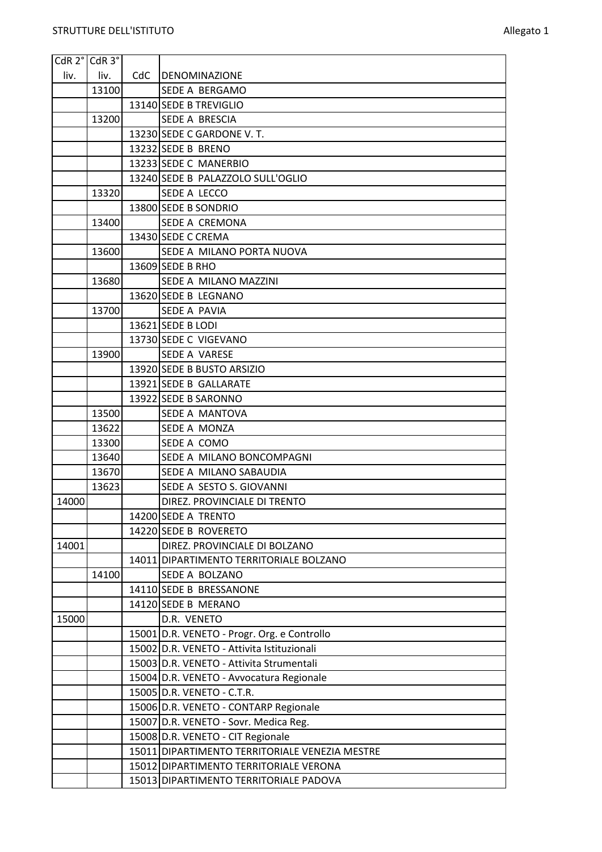| CdR 2° CdR 3° |       |     |                                                |
|---------------|-------|-----|------------------------------------------------|
| liv.          | liv.  | CdC | DENOMINAZIONE                                  |
|               | 13100 |     | SEDE A BERGAMO                                 |
|               |       |     | 13140 SEDE B TREVIGLIO                         |
|               | 13200 |     | SEDE A BRESCIA                                 |
|               |       |     | 13230 SEDE C GARDONE V. T.                     |
|               |       |     | 13232 SEDE B BRENO                             |
|               |       |     | 13233 SEDE C MANERBIO                          |
|               |       |     | 13240 SEDE B PALAZZOLO SULL'OGLIO              |
|               | 13320 |     | SEDE A LECCO                                   |
|               |       |     | 13800 SEDE B SONDRIO                           |
|               | 13400 |     | SEDE A CREMONA                                 |
|               |       |     | 13430 SEDE C CREMA                             |
|               | 13600 |     | SEDE A MILANO PORTA NUOVA                      |
|               |       |     | 13609 SEDE B RHO                               |
|               | 13680 |     | SEDE A MILANO MAZZINI                          |
|               |       |     | 13620 SEDE B LEGNANO                           |
|               | 13700 |     | SEDE A PAVIA                                   |
|               |       |     | 13621 SEDE B LODI                              |
|               |       |     | 13730 SEDE C VIGEVANO                          |
|               | 13900 |     | SEDE A VARESE                                  |
|               |       |     | 13920 SEDE B BUSTO ARSIZIO                     |
|               |       |     | 13921 SEDE B GALLARATE                         |
|               |       |     | 13922 SEDE B SARONNO                           |
|               | 13500 |     | SEDE A MANTOVA                                 |
|               | 13622 |     | SEDE A MONZA                                   |
|               | 13300 |     | SEDE A COMO                                    |
|               | 13640 |     | SEDE A MILANO BONCOMPAGNI                      |
|               | 13670 |     | SEDE A MILANO SABAUDIA                         |
|               | 13623 |     | SEDE A SESTO S. GIOVANNI                       |
| 14000         |       |     | DIREZ. PROVINCIALE DI TRENTO                   |
|               |       |     | 14200 SEDE A TRENTO                            |
|               |       |     | 14220 SEDE B ROVERETO                          |
| 14001         |       |     | DIREZ. PROVINCIALE DI BOLZANO                  |
|               |       |     | 14011 DIPARTIMENTO TERRITORIALE BOLZANO        |
|               | 14100 |     | SEDE A BOLZANO                                 |
|               |       |     | 14110 SEDE B BRESSANONE                        |
|               |       |     | 14120 SEDE B MERANO                            |
| 15000         |       |     | D.R. VENETO                                    |
|               |       |     | 15001 D.R. VENETO - Progr. Org. e Controllo    |
|               |       |     | 15002 D.R. VENETO - Attivita Istituzionali     |
|               |       |     | 15003 D.R. VENETO - Attivita Strumentali       |
|               |       |     | 15004 D.R. VENETO - Avvocatura Regionale       |
|               |       |     | 15005 D.R. VENETO - C.T.R.                     |
|               |       |     | 15006 D.R. VENETO - CONTARP Regionale          |
|               |       |     | 15007 D.R. VENETO - Sovr. Medica Reg.          |
|               |       |     | 15008 D.R. VENETO - CIT Regionale              |
|               |       |     | 15011 DIPARTIMENTO TERRITORIALE VENEZIA MESTRE |
|               |       |     | 15012 DIPARTIMENTO TERRITORIALE VERONA         |
|               |       |     | 15013 DIPARTIMENTO TERRITORIALE PADOVA         |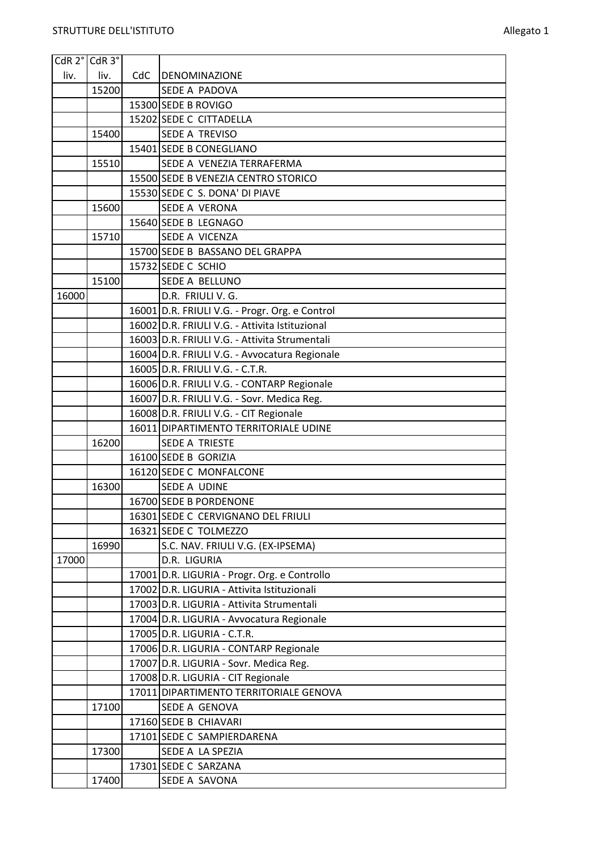|       | CdR 2° CdR 3° |     |                                                |
|-------|---------------|-----|------------------------------------------------|
| liv.  | liv.          | CdC | <b>DENOMINAZIONE</b>                           |
|       | 15200         |     | SEDE A PADOVA                                  |
|       |               |     | 15300 SEDE B ROVIGO                            |
|       |               |     | 15202 SEDE C CITTADELLA                        |
|       | 15400         |     | SEDE A TREVISO                                 |
|       |               |     | 15401 SEDE B CONEGLIANO                        |
|       | 15510         |     | SEDE A VENEZIA TERRAFERMA                      |
|       |               |     | 15500 SEDE B VENEZIA CENTRO STORICO            |
|       |               |     | 15530 SEDE C S. DONA' DI PIAVE                 |
|       | 15600         |     | SEDE A VERONA                                  |
|       |               |     | 15640 SEDE B LEGNAGO                           |
|       | 15710         |     | SEDE A VICENZA                                 |
|       |               |     | 15700 SEDE B BASSANO DEL GRAPPA                |
|       |               |     | 15732 SEDE C SCHIO                             |
|       | 15100         |     | SEDE A BELLUNO                                 |
| 16000 |               |     | D.R. FRIULI V. G.                              |
|       |               |     | 16001 D.R. FRIULI V.G. - Progr. Org. e Control |
|       |               |     | 16002 D.R. FRIULI V.G. - Attivita Istituzional |
|       |               |     | 16003 D.R. FRIULI V.G. - Attivita Strumentali  |
|       |               |     | 16004 D.R. FRIULI V.G. - Avvocatura Regionale  |
|       |               |     | 16005 D.R. FRIULI V.G. - C.T.R.                |
|       |               |     | 16006 D.R. FRIULI V.G. - CONTARP Regionale     |
|       |               |     | 16007 D.R. FRIULI V.G. - Sovr. Medica Reg.     |
|       |               |     | 16008 D.R. FRIULI V.G. - CIT Regionale         |
|       |               |     | 16011 DIPARTIMENTO TERRITORIALE UDINE          |
|       | 16200         |     | <b>SEDE A TRIESTE</b>                          |
|       |               |     | 16100 SEDE B GORIZIA                           |
|       |               |     | 16120 SEDE C MONFALCONE                        |
|       | 16300         |     | SEDE A UDINE                                   |
|       |               |     | 16700 SEDE B PORDENONE                         |
|       |               |     | 16301 SEDE C CERVIGNANO DEL FRIULI             |
|       |               |     | 16321 SEDE C TOLMEZZO                          |
|       | 16990         |     | S.C. NAV. FRIULI V.G. (EX-IPSEMA)              |
| 17000 |               |     | D.R. LIGURIA                                   |
|       |               |     | 17001 D.R. LIGURIA - Progr. Org. e Controllo   |
|       |               |     | 17002 D.R. LIGURIA - Attivita Istituzionali    |
|       |               |     | 17003 D.R. LIGURIA - Attivita Strumentali      |
|       |               |     | 17004 D.R. LIGURIA - Avvocatura Regionale      |
|       |               |     | 17005 D.R. LIGURIA - C.T.R.                    |
|       |               |     | 17006 D.R. LIGURIA - CONTARP Regionale         |
|       |               |     | 17007 D.R. LIGURIA - Sovr. Medica Reg.         |
|       |               |     | 17008 D.R. LIGURIA - CIT Regionale             |
|       |               |     | 17011 DIPARTIMENTO TERRITORIALE GENOVA         |
|       | 17100         |     | SEDE A GENOVA                                  |
|       |               |     | 17160 SEDE B CHIAVARI                          |
|       | 17300         |     | 17101 SEDE C SAMPIERDARENA                     |
|       |               |     | SEDE A LA SPEZIA<br>17301 SEDE C SARZANA       |
|       | 17400         |     |                                                |
|       |               |     | SEDE A SAVONA                                  |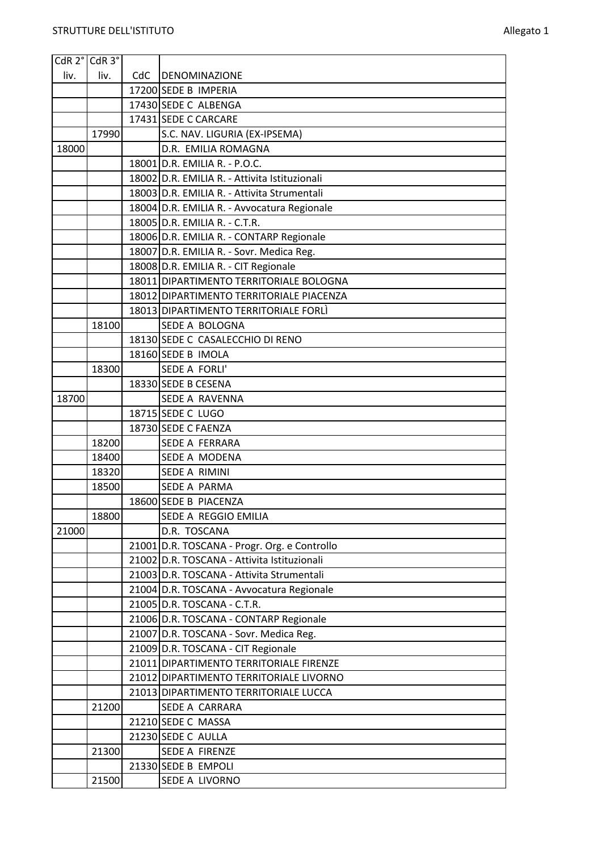| CdR 2° CdR 3° |       |     |                                                                               |
|---------------|-------|-----|-------------------------------------------------------------------------------|
| liv.          | liv.  | CdC | <b>DENOMINAZIONE</b>                                                          |
|               |       |     | 17200 SEDE B IMPERIA                                                          |
|               |       |     | 17430 SEDE C ALBENGA                                                          |
|               |       |     | 17431 SEDE C CARCARE                                                          |
|               | 17990 |     | S.C. NAV. LIGURIA (EX-IPSEMA)                                                 |
| 18000         |       |     | D.R. EMILIA ROMAGNA                                                           |
|               |       |     | 18001 D.R. EMILIA R. - P.O.C.                                                 |
|               |       |     | 18002 D.R. EMILIA R. - Attivita Istituzionali                                 |
|               |       |     | 18003 D.R. EMILIA R. - Attivita Strumentali                                   |
|               |       |     | 18004 D.R. EMILIA R. - Avvocatura Regionale                                   |
|               |       |     | 18005 D.R. EMILIA R. - C.T.R.                                                 |
|               |       |     | 18006 D.R. EMILIA R. - CONTARP Regionale                                      |
|               |       |     | 18007 D.R. EMILIA R. - Sovr. Medica Reg.                                      |
|               |       |     | 18008 D.R. EMILIA R. - CIT Regionale                                          |
|               |       |     | 18011 DIPARTIMENTO TERRITORIALE BOLOGNA                                       |
|               |       |     | 18012 DIPARTIMENTO TERRITORIALE PIACENZA                                      |
|               |       |     | 18013 DIPARTIMENTO TERRITORIALE FORLI                                         |
|               | 18100 |     | SEDE A BOLOGNA                                                                |
|               |       |     | 18130 SEDE C CASALECCHIO DI RENO                                              |
|               |       |     | 18160 SEDE B IMOLA                                                            |
|               | 18300 |     | SEDE A FORLI'                                                                 |
|               |       |     | 18330 SEDE B CESENA                                                           |
| 18700         |       |     | <b>SEDE A RAVENNA</b>                                                         |
|               |       |     | 18715 SEDE C LUGO                                                             |
|               |       |     | 18730 SEDE C FAENZA                                                           |
|               | 18200 |     | SEDE A FERRARA                                                                |
|               | 18400 |     | SEDE A MODENA                                                                 |
|               | 18320 |     | <b>SEDE A RIMINI</b>                                                          |
|               | 18500 |     | SEDE A PARMA                                                                  |
|               |       |     | 18600 SEDE B PIACENZA                                                         |
|               | 18800 |     | SEDE A REGGIO EMILIA                                                          |
| 21000         |       |     | D.R. TOSCANA                                                                  |
|               |       |     | 21001 D.R. TOSCANA - Progr. Org. e Controllo                                  |
|               |       |     | 21002 D.R. TOSCANA - Attivita Istituzionali                                   |
|               |       |     | 21003 D.R. TOSCANA - Attivita Strumentali                                     |
|               |       |     | 21004 D.R. TOSCANA - Avvocatura Regionale                                     |
|               |       |     | 21005 D.R. TOSCANA - C.T.R.                                                   |
|               |       |     | 21006 D.R. TOSCANA - CONTARP Regionale                                        |
|               |       |     | 21007 D.R. TOSCANA - Sovr. Medica Reg.                                        |
|               |       |     | 21009 D.R. TOSCANA - CIT Regionale<br>21011 DIPARTIMENTO TERRITORIALE FIRENZE |
|               |       |     | 21012 DIPARTIMENTO TERRITORIALE LIVORNO                                       |
|               |       |     | 21013 DIPARTIMENTO TERRITORIALE LUCCA                                         |
|               | 21200 |     | SEDE A CARRARA                                                                |
|               |       |     | 21210 SEDE C MASSA                                                            |
|               |       |     | 21230 SEDE C AULLA                                                            |
|               | 21300 |     | SEDE A FIRENZE                                                                |
|               |       |     | 21330 SEDE B EMPOLI                                                           |
|               | 21500 |     | SEDE A LIVORNO                                                                |
|               |       |     |                                                                               |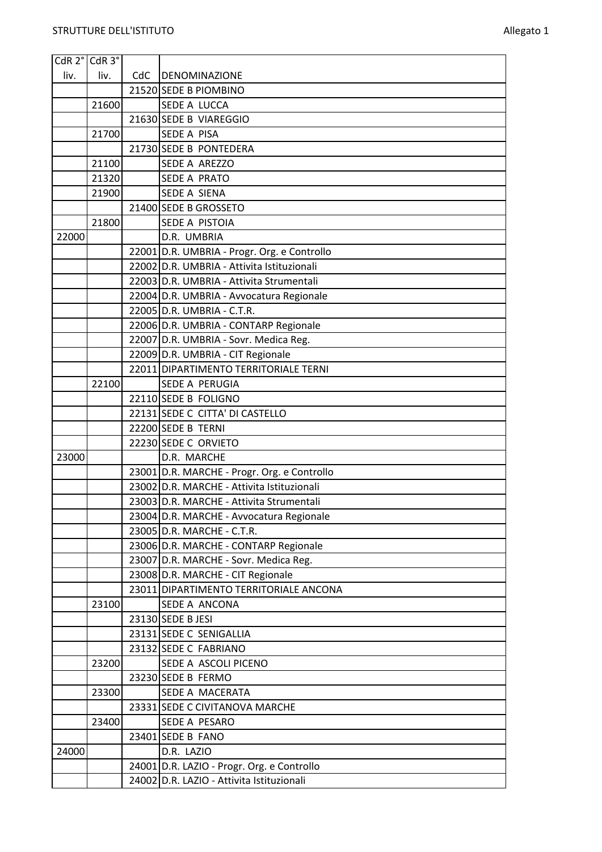|       | CdR 2° CdR 3° |     |                                             |
|-------|---------------|-----|---------------------------------------------|
| liv.  | liv.          | CdC | DENOMINAZIONE                               |
|       |               |     | 21520 SEDE B PIOMBINO                       |
|       | 21600         |     | SEDE A LUCCA                                |
|       |               |     | 21630 SEDE B VIAREGGIO                      |
|       | 21700         |     | <b>SEDE A PISA</b>                          |
|       |               |     | 21730 SEDE B PONTEDERA                      |
|       | 21100         |     | SEDE A AREZZO                               |
|       | 21320         |     | SEDE A PRATO                                |
|       | 21900         |     | SEDE A SIENA                                |
|       |               |     | 21400 SEDE B GROSSETO                       |
|       | 21800         |     | SEDE A PISTOIA                              |
| 22000 |               |     | D.R. UMBRIA                                 |
|       |               |     | 22001 D.R. UMBRIA - Progr. Org. e Controllo |
|       |               |     | 22002 D.R. UMBRIA - Attivita Istituzionali  |
|       |               |     | 22003 D.R. UMBRIA - Attivita Strumentali    |
|       |               |     | 22004 D.R. UMBRIA - Avvocatura Regionale    |
|       |               |     | 22005 D.R. UMBRIA - C.T.R.                  |
|       |               |     | 22006 D.R. UMBRIA - CONTARP Regionale       |
|       |               |     | 22007 D.R. UMBRIA - Sovr. Medica Reg.       |
|       |               |     | 22009 D.R. UMBRIA - CIT Regionale           |
|       |               |     | 22011 DIPARTIMENTO TERRITORIALE TERNI       |
|       | 22100         |     | SEDE A PERUGIA                              |
|       |               |     | 22110 SEDE B FOLIGNO                        |
|       |               |     | 22131 SEDE C CITTA' DI CASTELLO             |
|       |               |     | 22200 SEDE B TERNI                          |
|       |               |     | 22230 SEDE C ORVIETO                        |
| 23000 |               |     | D.R. MARCHE                                 |
|       |               |     | 23001 D.R. MARCHE - Progr. Org. e Controllo |
|       |               |     | 23002 D.R. MARCHE - Attivita Istituzionali  |
|       |               |     | 23003 D.R. MARCHE - Attivita Strumentali    |
|       |               |     | 23004 D.R. MARCHE - Avvocatura Regionale    |
|       |               |     | 23005 D.R. MARCHE - C.T.R.                  |
|       |               |     | 23006 D.R. MARCHE - CONTARP Regionale       |
|       |               |     | 23007 D.R. MARCHE - Sovr. Medica Reg.       |
|       |               |     | 23008 D.R. MARCHE - CIT Regionale           |
|       |               |     | 23011 DIPARTIMENTO TERRITORIALE ANCONA      |
|       | 23100         |     | SEDE A ANCONA                               |
|       |               |     | 23130 SEDE B JESI                           |
|       |               |     | 23131 SEDE C SENIGALLIA                     |
|       |               |     | 23132 SEDE C FABRIANO                       |
|       | 23200         |     | SEDE A ASCOLI PICENO                        |
|       |               |     | 23230 SEDE B FERMO                          |
|       | 23300         |     | SEDE A MACERATA                             |
|       |               |     | 23331 SEDE C CIVITANOVA MARCHE              |
|       | 23400         |     | SEDE A PESARO                               |
|       |               |     | 23401 SEDE B FANO                           |
| 24000 |               |     | D.R. LAZIO                                  |
|       |               |     | 24001 D.R. LAZIO - Progr. Org. e Controllo  |
|       |               |     | 24002 D.R. LAZIO - Attivita Istituzionali   |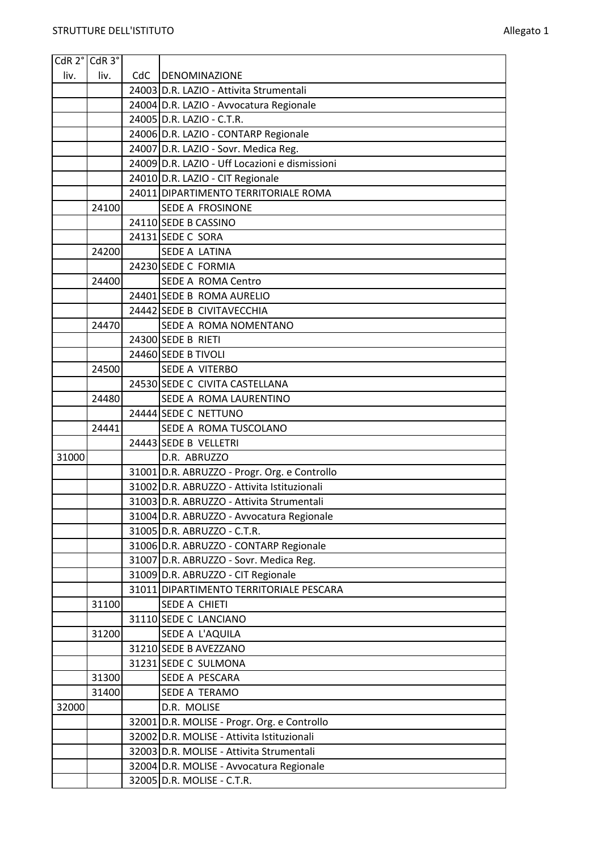|       | CdR 2° CdR 3° |     |                                                                        |
|-------|---------------|-----|------------------------------------------------------------------------|
| liv.  | liv.          | CdC | <b>DENOMINAZIONE</b>                                                   |
|       |               |     | 24003 D.R. LAZIO - Attivita Strumentali                                |
|       |               |     | 24004 D.R. LAZIO - Avvocatura Regionale                                |
|       |               |     | 24005 D.R. LAZIO - C.T.R.                                              |
|       |               |     | 24006 D.R. LAZIO - CONTARP Regionale                                   |
|       |               |     | 24007 D.R. LAZIO - Sovr. Medica Reg.                                   |
|       |               |     | 24009 D.R. LAZIO - Uff Locazioni e dismissioni                         |
|       |               |     | 24010 D.R. LAZIO - CIT Regionale                                       |
|       |               |     | 24011 DIPARTIMENTO TERRITORIALE ROMA                                   |
|       | 24100         |     | SEDE A FROSINONE                                                       |
|       |               |     | 24110 SEDE B CASSINO                                                   |
|       |               |     | 24131 SEDE C SORA                                                      |
|       | 24200         |     | SEDE A LATINA                                                          |
|       |               |     | 24230 SEDE C FORMIA                                                    |
|       | 24400         |     | SEDE A ROMA Centro                                                     |
|       |               |     | 24401 SEDE B ROMA AURELIO                                              |
|       |               |     | 24442 SEDE B CIVITAVECCHIA                                             |
|       | 24470         |     | SEDE A ROMA NOMENTANO                                                  |
|       |               |     | 24300 SEDE B RIETI                                                     |
|       |               |     | 24460 SEDE B TIVOLI                                                    |
|       | 24500         |     | SEDE A VITERBO                                                         |
|       |               |     | 24530 SEDE C CIVITA CASTELLANA                                         |
|       | 24480         |     | SEDE A ROMA LAURENTINO                                                 |
|       |               |     | 24444 SEDE C NETTUNO                                                   |
|       |               |     |                                                                        |
|       | 24441         |     | SEDE A ROMA TUSCOLANO                                                  |
|       |               |     | 24443 SEDE B VELLETRI                                                  |
| 31000 |               |     | D.R. ABRUZZO                                                           |
|       |               |     | 31001 D.R. ABRUZZO - Progr. Org. e Controllo                           |
|       |               |     | 31002 D.R. ABRUZZO - Attivita Istituzionali                            |
|       |               |     | 31003 D.R. ABRUZZO - Attivita Strumentali                              |
|       |               |     | 31004 D.R. ABRUZZO - Avvocatura Regionale                              |
|       |               |     | 31005 D.R. ABRUZZO - C.T.R.                                            |
|       |               |     | 31006 D.R. ABRUZZO - CONTARP Regionale                                 |
|       |               |     | 31007 D.R. ABRUZZO - Sovr. Medica Reg.                                 |
|       |               |     | 31009 D.R. ABRUZZO - CIT Regionale                                     |
|       |               |     | 31011 DIPARTIMENTO TERRITORIALE PESCARA                                |
|       | 31100         |     | SEDE A CHIETI                                                          |
|       |               |     | 31110 SEDE C LANCIANO                                                  |
|       | 31200         |     | SEDE A L'AQUILA                                                        |
|       |               |     | 31210 SEDE B AVEZZANO                                                  |
|       |               |     | 31231 SEDE C SULMONA                                                   |
|       | 31300         |     | SEDE A PESCARA                                                         |
|       | 31400         |     | SEDE A TERAMO                                                          |
| 32000 |               |     | D.R. MOLISE                                                            |
|       |               |     | 32001 D.R. MOLISE - Progr. Org. e Controllo                            |
|       |               |     | 32002 D.R. MOLISE - Attivita Istituzionali                             |
|       |               |     | 32003 D.R. MOLISE - Attivita Strumentali                               |
|       |               |     | 32004 D.R. MOLISE - Avvocatura Regionale<br>32005 D.R. MOLISE - C.T.R. |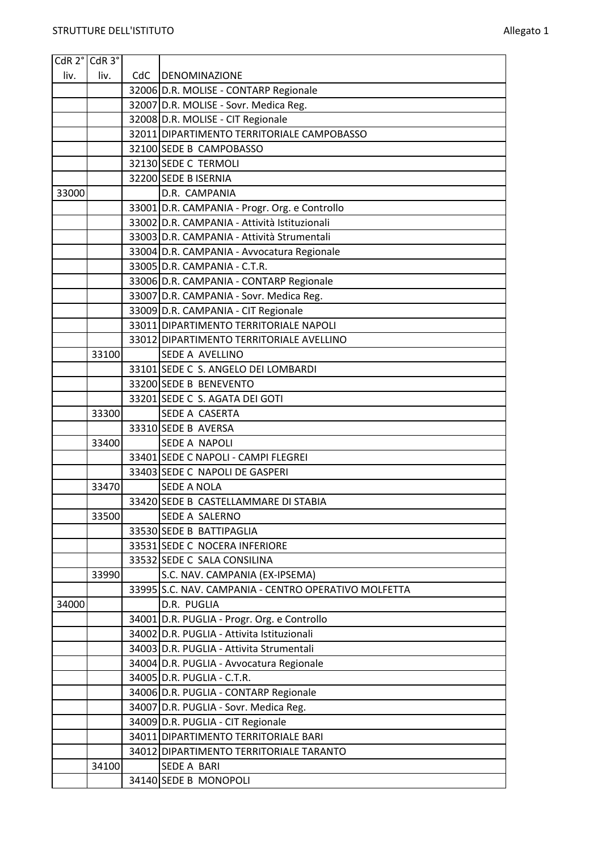|       | CdR 2° CdR 3° |     |                                                                                           |
|-------|---------------|-----|-------------------------------------------------------------------------------------------|
| liv.  | liv.          | CdC | DENOMINAZIONE                                                                             |
|       |               |     | 32006 D.R. MOLISE - CONTARP Regionale                                                     |
|       |               |     | 32007 D.R. MOLISE - Sovr. Medica Reg.                                                     |
|       |               |     | 32008 D.R. MOLISE - CIT Regionale                                                         |
|       |               |     | 32011 DIPARTIMENTO TERRITORIALE CAMPOBASSO                                                |
|       |               |     | 32100 SEDE B CAMPOBASSO                                                                   |
|       |               |     | 32130 SEDE C TERMOLI                                                                      |
|       |               |     | 32200 SEDE B ISERNIA                                                                      |
| 33000 |               |     | D.R. CAMPANIA                                                                             |
|       |               |     | 33001 D.R. CAMPANIA - Progr. Org. e Controllo                                             |
|       |               |     | 33002 D.R. CAMPANIA - Attività Istituzionali                                              |
|       |               |     | 33003 D.R. CAMPANIA - Attività Strumentali                                                |
|       |               |     | 33004 D.R. CAMPANIA - Avvocatura Regionale                                                |
|       |               |     | 33005 D.R. CAMPANIA - C.T.R.                                                              |
|       |               |     | 33006 D.R. CAMPANIA - CONTARP Regionale                                                   |
|       |               |     | 33007 D.R. CAMPANIA - Sovr. Medica Reg.                                                   |
|       |               |     | 33009 D.R. CAMPANIA - CIT Regionale                                                       |
|       |               |     | 33011 DIPARTIMENTO TERRITORIALE NAPOLI                                                    |
|       |               |     | 33012 DIPARTIMENTO TERRITORIALE AVELLINO                                                  |
|       | 33100         |     | <b>SEDE A AVELLINO</b>                                                                    |
|       |               |     | 33101 SEDE C S. ANGELO DEI LOMBARDI                                                       |
|       |               |     | 33200 SEDE B BENEVENTO                                                                    |
|       |               |     | 33201 SEDE C S. AGATA DEI GOTI                                                            |
|       | 33300         |     | SEDE A CASERTA                                                                            |
|       |               |     | 33310 SEDE B AVERSA                                                                       |
|       | 33400         |     | <b>SEDE A NAPOLI</b>                                                                      |
|       |               |     | 33401 SEDE C NAPOLI - CAMPI FLEGREI                                                       |
|       |               |     | 33403 SEDE C NAPOLI DE GASPERI                                                            |
|       | 33470         |     | <b>SEDE A NOLA</b>                                                                        |
|       |               |     | 33420 SEDE B CASTELLAMMARE DI STABIA                                                      |
|       | 33500         |     | SEDE A SALERNO                                                                            |
|       |               |     | 33530 SEDE B BATTIPAGLIA                                                                  |
|       |               |     | 33531 SEDE C NOCERA INFERIORE                                                             |
|       |               |     | 33532 SEDE C SALA CONSILINA                                                               |
|       | 33990         |     | S.C. NAV. CAMPANIA (EX-IPSEMA)                                                            |
|       |               |     | 33995 S.C. NAV. CAMPANIA - CENTRO OPERATIVO MOLFETTA                                      |
| 34000 |               |     | D.R. PUGLIA                                                                               |
|       |               |     | 34001 D.R. PUGLIA - Progr. Org. e Controllo<br>34002 D.R. PUGLIA - Attivita Istituzionali |
|       |               |     |                                                                                           |
|       |               |     | 34003 D.R. PUGLIA - Attivita Strumentali                                                  |
|       |               |     | 34004 D.R. PUGLIA - Avvocatura Regionale                                                  |
|       |               |     | 34005 D.R. PUGLIA - C.T.R.<br>34006 D.R. PUGLIA - CONTARP Regionale                       |
|       |               |     | 34007 D.R. PUGLIA - Sovr. Medica Reg.                                                     |
|       |               |     | 34009 D.R. PUGLIA - CIT Regionale                                                         |
|       |               |     | 34011 DIPARTIMENTO TERRITORIALE BARI                                                      |
|       |               |     | 34012 DIPARTIMENTO TERRITORIALE TARANTO                                                   |
|       | 34100         |     | <b>SEDE A BARI</b>                                                                        |
|       |               |     | 34140 SEDE B MONOPOLI                                                                     |
|       |               |     |                                                                                           |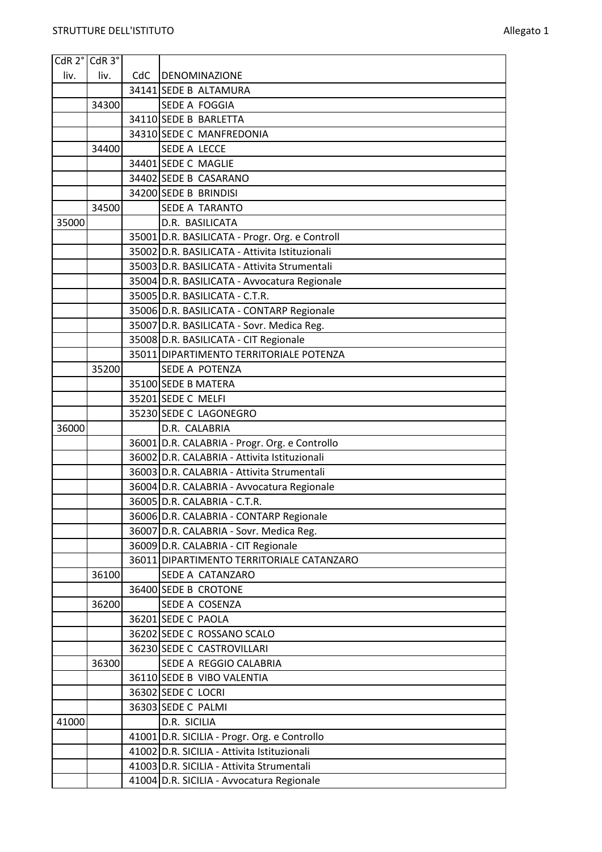| CdR 2° CdR 3° |       |     |                                                |
|---------------|-------|-----|------------------------------------------------|
| liv.          | liv.  | CdC | DENOMINAZIONE                                  |
|               |       |     | 34141 SEDE B ALTAMURA                          |
|               | 34300 |     | SEDE A FOGGIA                                  |
|               |       |     | 34110 SEDE B BARLETTA                          |
|               |       |     | 34310 SEDE C MANFREDONIA                       |
|               | 34400 |     | SEDE A LECCE                                   |
|               |       |     | 34401 SEDE C MAGLIE                            |
|               |       |     | 34402 SEDE B CASARANO                          |
|               |       |     | 34200 SEDE B BRINDISI                          |
|               | 34500 |     | SEDE A TARANTO                                 |
| 35000         |       |     | D.R. BASILICATA                                |
|               |       |     | 35001 D.R. BASILICATA - Progr. Org. e Controll |
|               |       |     | 35002 D.R. BASILICATA - Attivita Istituzionali |
|               |       |     | 35003 D.R. BASILICATA - Attivita Strumentali   |
|               |       |     | 35004 D.R. BASILICATA - Avvocatura Regionale   |
|               |       |     | 35005 D.R. BASILICATA - C.T.R.                 |
|               |       |     | 35006 D.R. BASILICATA - CONTARP Regionale      |
|               |       |     | 35007 D.R. BASILICATA - Sovr. Medica Reg.      |
|               |       |     | 35008 D.R. BASILICATA - CIT Regionale          |
|               |       |     | 35011 DIPARTIMENTO TERRITORIALE POTENZA        |
|               | 35200 |     | SEDE A POTENZA                                 |
|               |       |     | 35100 SEDE B MATERA                            |
|               |       |     | 35201 SEDE C MELFI                             |
|               |       |     | 35230 SEDE C LAGONEGRO                         |
| 36000         |       |     | D.R. CALABRIA                                  |
|               |       |     | 36001 D.R. CALABRIA - Progr. Org. e Controllo  |
|               |       |     | 36002 D.R. CALABRIA - Attivita Istituzionali   |
|               |       |     | 36003 D.R. CALABRIA - Attivita Strumentali     |
|               |       |     | 36004 D.R. CALABRIA - Avvocatura Regionale     |
|               |       |     | 36005 D.R. CALABRIA - C.T.R.                   |
|               |       |     | 36006 D.R. CALABRIA - CONTARP Regionale        |
|               |       |     | 36007 D.R. CALABRIA - Sovr. Medica Reg.        |
|               |       |     | 36009 D.R. CALABRIA - CIT Regionale            |
|               |       |     | 36011 DIPARTIMENTO TERRITORIALE CATANZARO      |
|               | 36100 |     | SEDE A CATANZARO<br>36400 SEDE B CROTONE       |
|               |       |     | SEDE A COSENZA                                 |
|               | 36200 |     | 36201 SEDE C PAOLA                             |
|               |       |     | 36202 SEDE C ROSSANO SCALO                     |
|               |       |     | 36230 SEDE C CASTROVILLARI                     |
|               | 36300 |     | SEDE A REGGIO CALABRIA                         |
|               |       |     | 36110 SEDE B VIBO VALENTIA                     |
|               |       |     | 36302 SEDE C LOCRI                             |
|               |       |     | 36303 SEDE C PALMI                             |
| 41000         |       |     | D.R. SICILIA                                   |
|               |       |     | 41001 D.R. SICILIA - Progr. Org. e Controllo   |
|               |       |     | 41002 D.R. SICILIA - Attivita Istituzionali    |
|               |       |     | 41003 D.R. SICILIA - Attivita Strumentali      |
|               |       |     | 41004 D.R. SICILIA - Avvocatura Regionale      |
|               |       |     |                                                |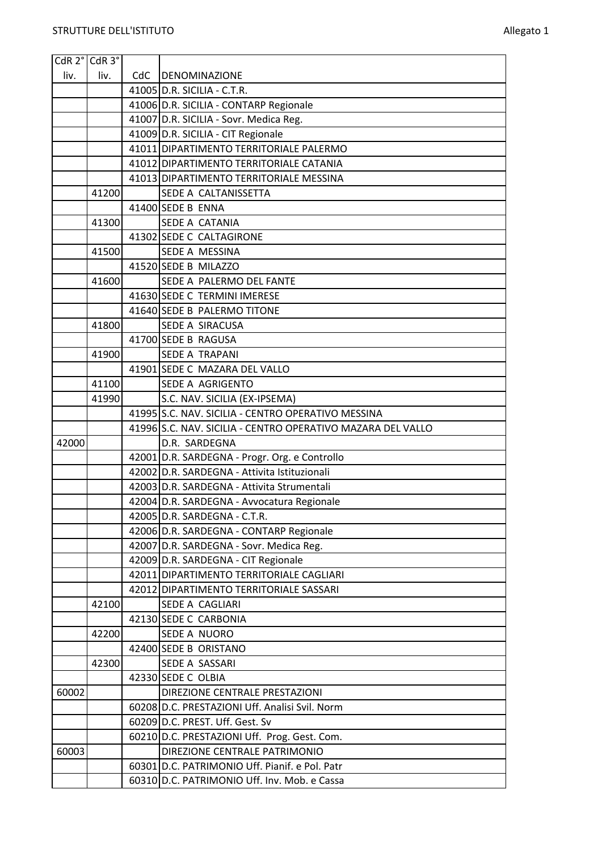| CdR 2° CdR 3° |       |     |                                                                               |
|---------------|-------|-----|-------------------------------------------------------------------------------|
| liv.          | liv.  | CdC | <b>DENOMINAZIONE</b>                                                          |
|               |       |     | 41005 D.R. SICILIA - C.T.R.                                                   |
|               |       |     | 41006 D.R. SICILIA - CONTARP Regionale                                        |
|               |       |     | 41007 D.R. SICILIA - Sovr. Medica Reg.                                        |
|               |       |     | 41009 D.R. SICILIA - CIT Regionale                                            |
|               |       |     | 41011 DIPARTIMENTO TERRITORIALE PALERMO                                       |
|               |       |     | 41012 DIPARTIMENTO TERRITORIALE CATANIA                                       |
|               |       |     | 41013 DIPARTIMENTO TERRITORIALE MESSINA                                       |
|               | 41200 |     | SEDE A CALTANISSETTA                                                          |
|               |       |     | 41400 SEDE B ENNA                                                             |
|               | 41300 |     | SEDE A CATANIA                                                                |
|               |       |     | 41302 SEDE C CALTAGIRONE                                                      |
|               | 41500 |     | SEDE A MESSINA                                                                |
|               |       |     | 41520 SEDE B MILAZZO                                                          |
|               | 41600 |     | SEDE A PALERMO DEL FANTE                                                      |
|               |       |     | 41630 SEDE C TERMINI IMERESE                                                  |
|               |       |     | 41640 SEDE B PALERMO TITONE                                                   |
|               | 41800 |     | <b>SEDE A SIRACUSA</b>                                                        |
|               |       |     | 41700 SEDE B RAGUSA                                                           |
|               | 41900 |     | <b>SEDE A TRAPANI</b>                                                         |
|               |       |     | 41901 SEDE C MAZARA DEL VALLO                                                 |
|               | 41100 |     | SEDE A AGRIGENTO                                                              |
|               | 41990 |     | S.C. NAV. SICILIA (EX-IPSEMA)                                                 |
|               |       |     | 41995 S.C. NAV. SICILIA - CENTRO OPERATIVO MESSINA                            |
|               |       |     | 41996 S.C. NAV. SICILIA - CENTRO OPERATIVO MAZARA DEL VALLO                   |
| 42000         |       |     | D.R. SARDEGNA                                                                 |
|               |       |     | 42001 D.R. SARDEGNA - Progr. Org. e Controllo                                 |
|               |       |     | 42002 D.R. SARDEGNA - Attivita Istituzionali                                  |
|               |       |     | 42003 D.R. SARDEGNA - Attivita Strumentali                                    |
|               |       |     | 42004 D.R. SARDEGNA - Avvocatura Regionale                                    |
|               |       |     | 42005 D.R. SARDEGNA - C.T.R.                                                  |
|               |       |     | 42006 D.R. SARDEGNA - CONTARP Regionale                                       |
|               |       |     | 42007 D.R. SARDEGNA - Sovr. Medica Reg.                                       |
|               |       |     | 42009 D.R. SARDEGNA - CIT Regionale                                           |
|               |       |     | 42011 DIPARTIMENTO TERRITORIALE CAGLIARI                                      |
|               |       |     | 42012 DIPARTIMENTO TERRITORIALE SASSARI                                       |
|               | 42100 |     | SEDE A CAGLIARI                                                               |
|               |       |     | 42130 SEDE C CARBONIA                                                         |
|               | 42200 |     | <b>SEDE A NUORO</b>                                                           |
|               |       |     | 42400 SEDE B ORISTANO                                                         |
|               | 42300 |     | SEDE A SASSARI                                                                |
|               |       |     | 42330 SEDE C OLBIA                                                            |
| 60002         |       |     | DIREZIONE CENTRALE PRESTAZIONI                                                |
|               |       |     | 60208 D.C. PRESTAZIONI Uff. Analisi Svil. Norm                                |
|               |       |     | 60209 D.C. PREST. Uff. Gest. Sv                                               |
| 60003         |       |     | 60210 D.C. PRESTAZIONI Uff. Prog. Gest. Com.<br>DIREZIONE CENTRALE PATRIMONIO |
|               |       |     | 60301 D.C. PATRIMONIO Uff. Pianif. e Pol. Patr                                |
|               |       |     |                                                                               |
|               |       |     | 60310 D.C. PATRIMONIO Uff. Inv. Mob. e Cassa                                  |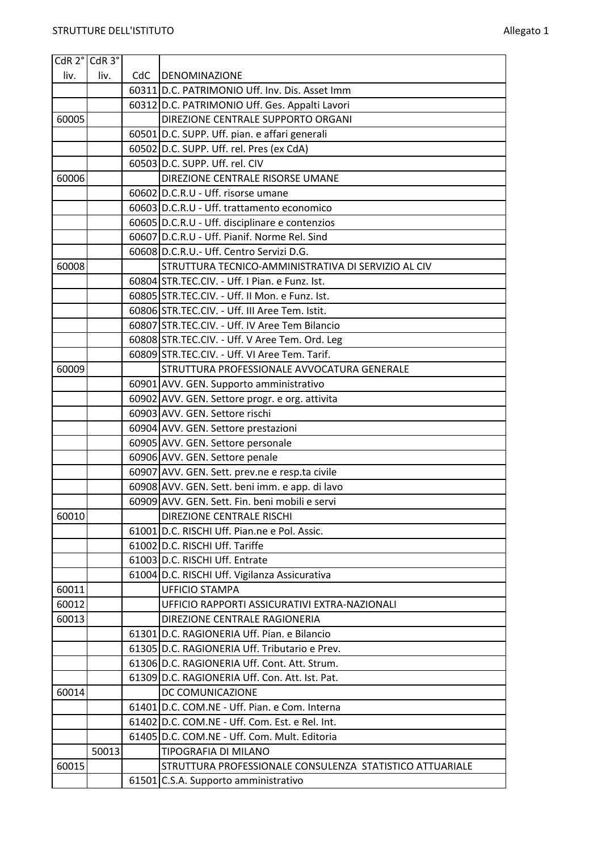| CdR 2° CdR 3° |       |     |                                                                      |
|---------------|-------|-----|----------------------------------------------------------------------|
| liv.          | liv.  | CdC | <b>DENOMINAZIONE</b>                                                 |
|               |       |     | 60311 D.C. PATRIMONIO Uff. Inv. Dis. Asset Imm                       |
|               |       |     | 60312 D.C. PATRIMONIO Uff. Ges. Appalti Lavori                       |
| 60005         |       |     | DIREZIONE CENTRALE SUPPORTO ORGANI                                   |
|               |       |     | 60501 D.C. SUPP. Uff. pian. e affari generali                        |
|               |       |     | 60502 D.C. SUPP. Uff. rel. Pres (ex CdA)                             |
|               |       |     | 60503 D.C. SUPP. Uff. rel. CIV                                       |
| 60006         |       |     | DIREZIONE CENTRALE RISORSE UMANE                                     |
|               |       |     | 60602 D.C.R.U - Uff. risorse umane                                   |
|               |       |     | 60603 D.C.R.U - Uff. trattamento economico                           |
|               |       |     | 60605 D.C.R.U - Uff. disciplinare e contenzios                       |
|               |       |     | 60607 D.C.R.U - Uff. Pianif. Norme Rel. Sind                         |
|               |       |     | 60608 D.C.R.U. - Uff. Centro Servizi D.G.                            |
| 60008         |       |     | STRUTTURA TECNICO-AMMINISTRATIVA DI SERVIZIO AL CIV                  |
|               |       |     | 60804 STR.TEC.CIV. - Uff. I Pian. e Funz. Ist.                       |
|               |       |     | 60805 STR.TEC.CIV. - Uff. II Mon. e Funz. Ist.                       |
|               |       |     | 60806 STR.TEC.CIV. - Uff. III Aree Tem. Istit.                       |
|               |       |     | 60807 STR.TEC.CIV. - Uff. IV Aree Tem Bilancio                       |
|               |       |     | 60808 STR.TEC.CIV. - Uff. V Aree Tem. Ord. Leg                       |
|               |       |     | 60809 STR.TEC.CIV. - Uff. VI Aree Tem. Tarif.                        |
| 60009         |       |     | STRUTTURA PROFESSIONALE AVVOCATURA GENERALE                          |
|               |       |     | 60901 AVV. GEN. Supporto amministrativo                              |
|               |       |     | 60902 AVV. GEN. Settore progr. e org. attivita                       |
|               |       |     | 60903 AVV. GEN. Settore rischi                                       |
|               |       |     | 60904 AVV. GEN. Settore prestazioni                                  |
|               |       |     | 60905 AVV. GEN. Settore personale                                    |
|               |       |     | 60906 AVV. GEN. Settore penale                                       |
|               |       |     | 60907 AVV. GEN. Sett. prev.ne e resp.ta civile                       |
|               |       |     | 60908 AVV. GEN. Sett. beni imm. e app. di lavo                       |
|               |       |     | 60909 AVV. GEN. Sett. Fin. beni mobili e servi                       |
| 60010         |       |     | DIREZIONE CENTRALE RISCHI                                            |
|               |       |     | 61001 D.C. RISCHI Uff. Pian.ne e Pol. Assic.                         |
|               |       |     | 61002 D.C. RISCHI Uff. Tariffe                                       |
|               |       |     | 61003 D.C. RISCHI Uff. Entrate                                       |
|               |       |     | 61004 D.C. RISCHI Uff. Vigilanza Assicurativa                        |
| 60011         |       |     | <b>UFFICIO STAMPA</b>                                                |
| 60012         |       |     | UFFICIO RAPPORTI ASSICURATIVI EXTRA-NAZIONALI                        |
| 60013         |       |     | DIREZIONE CENTRALE RAGIONERIA                                        |
|               |       |     | 61301 D.C. RAGIONERIA Uff. Pian. e Bilancio                          |
|               |       |     | 61305 D.C. RAGIONERIA Uff. Tributario e Prev.                        |
|               |       |     | 61306 D.C. RAGIONERIA Uff. Cont. Att. Strum.                         |
|               |       |     | 61309 D.C. RAGIONERIA Uff. Con. Att. Ist. Pat.<br>DC COMUNICAZIONE   |
| 60014         |       |     | 61401 D.C. COM.NE - Uff. Pian. e Com. Interna                        |
|               |       |     |                                                                      |
|               |       |     | 61402 D.C. COM.NE - Uff. Com. Est. e Rel. Int.                       |
|               | 50013 |     | 61405 D.C. COM.NE - Uff. Com. Mult. Editoria<br>TIPOGRAFIA DI MILANO |
| 60015         |       |     | STRUTTURA PROFESSIONALE CONSULENZA STATISTICO ATTUARIALE             |
|               |       |     |                                                                      |
|               |       |     | 61501 C.S.A. Supporto amministrativo                                 |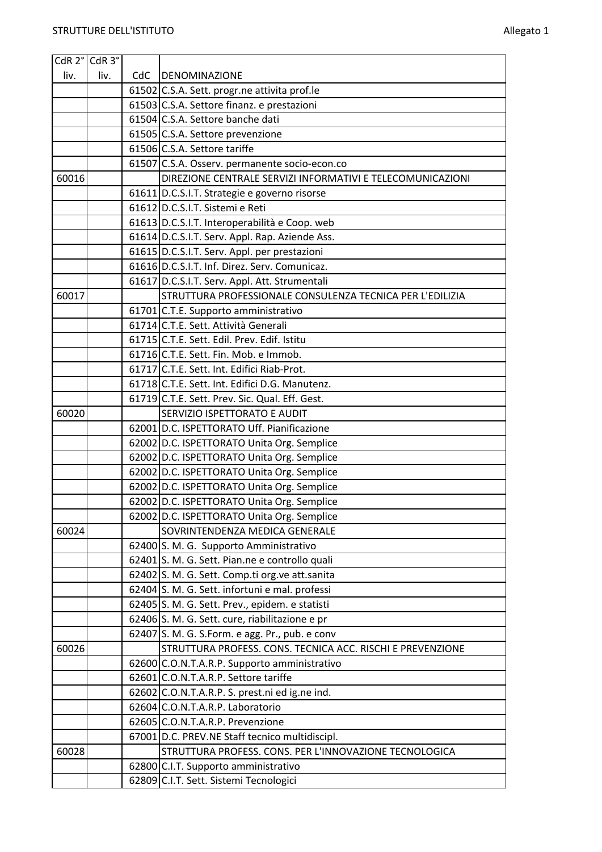| CdR 2° CdR 3° |      |     |                                                                                                  |
|---------------|------|-----|--------------------------------------------------------------------------------------------------|
| liv.          | liv. | CdC | DENOMINAZIONE                                                                                    |
|               |      |     | 61502 C.S.A. Sett. progr.ne attivita prof.le                                                     |
|               |      |     | 61503 C.S.A. Settore finanz. e prestazioni                                                       |
|               |      |     | 61504 C.S.A. Settore banche dati                                                                 |
|               |      |     | 61505 C.S.A. Settore prevenzione                                                                 |
|               |      |     | 61506 C.S.A. Settore tariffe                                                                     |
|               |      |     | 61507 C.S.A. Osserv. permanente socio-econ.co                                                    |
| 60016         |      |     | DIREZIONE CENTRALE SERVIZI INFORMATIVI E TELECOMUNICAZIONI                                       |
|               |      |     | 61611 D.C.S.I.T. Strategie e governo risorse                                                     |
|               |      |     | 61612 D.C.S.I.T. Sistemi e Reti                                                                  |
|               |      |     | 61613 D.C.S.I.T. Interoperabilità e Coop. web                                                    |
|               |      |     | 61614 D.C.S.I.T. Serv. Appl. Rap. Aziende Ass.                                                   |
|               |      |     | 61615 D.C.S.I.T. Serv. Appl. per prestazioni                                                     |
|               |      |     | 61616 D.C.S.I.T. Inf. Direz. Serv. Comunicaz.                                                    |
|               |      |     | 61617 D.C.S.I.T. Serv. Appl. Att. Strumentali                                                    |
| 60017         |      |     | STRUTTURA PROFESSIONALE CONSULENZA TECNICA PER L'EDILIZIA                                        |
|               |      |     | 61701 C.T.E. Supporto amministrativo                                                             |
|               |      |     | 61714 C.T.E. Sett. Attività Generali                                                             |
|               |      |     | 61715 C.T.E. Sett. Edil. Prev. Edif. Istitu                                                      |
|               |      |     | 61716 C.T.E. Sett. Fin. Mob. e Immob.                                                            |
|               |      |     | 61717 C.T.E. Sett. Int. Edifici Riab-Prot.                                                       |
|               |      |     | 61718 C.T.E. Sett. Int. Edifici D.G. Manutenz.                                                   |
|               |      |     | 61719 C.T.E. Sett. Prev. Sic. Qual. Eff. Gest.                                                   |
| 60020         |      |     | SERVIZIO ISPETTORATO E AUDIT                                                                     |
|               |      |     | 62001 D.C. ISPETTORATO Uff. Pianificazione                                                       |
|               |      |     | 62002 D.C. ISPETTORATO Unita Org. Semplice                                                       |
|               |      |     | 62002 D.C. ISPETTORATO Unita Org. Semplice                                                       |
|               |      |     | 62002 D.C. ISPETTORATO Unita Org. Semplice                                                       |
|               |      |     | 62002 D.C. ISPETTORATO Unita Org. Semplice                                                       |
|               |      |     | 62002 D.C. ISPETTORATO Unita Org. Semplice                                                       |
|               |      |     | 62002 D.C. ISPETTORATO Unita Org. Semplice                                                       |
| 60024         |      |     | SOVRINTENDENZA MEDICA GENERALE                                                                   |
|               |      |     | 62400 S. M. G. Supporto Amministrativo                                                           |
|               |      |     | 62401 S. M. G. Sett. Pian.ne e controllo quali                                                   |
|               |      |     | 62402 S. M. G. Sett. Comp.ti org.ve att.sanita<br>62404 S. M. G. Sett. infortuni e mal. professi |
|               |      |     | 62405 S. M. G. Sett. Prev., epidem. e statisti                                                   |
|               |      |     | 62406 S. M. G. Sett. cure, riabilitazione e pr                                                   |
|               |      |     | 62407 S. M. G. S.Form. e agg. Pr., pub. e conv                                                   |
| 60026         |      |     | STRUTTURA PROFESS. CONS. TECNICA ACC. RISCHI E PREVENZIONE                                       |
|               |      |     | 62600 C.O.N.T.A.R.P. Supporto amministrativo                                                     |
|               |      |     | 62601 C.O.N.T.A.R.P. Settore tariffe                                                             |
|               |      |     | 62602 C.O.N.T.A.R.P. S. prest.ni ed ig.ne ind.                                                   |
|               |      |     | 62604 C.O.N.T.A.R.P. Laboratorio                                                                 |
|               |      |     | 62605 C.O.N.T.A.R.P. Prevenzione                                                                 |
|               |      |     | 67001 D.C. PREV.NE Staff tecnico multidiscipl.                                                   |
| 60028         |      |     | STRUTTURA PROFESS. CONS. PER L'INNOVAZIONE TECNOLOGICA                                           |
|               |      |     | 62800 C.I.T. Supporto amministrativo                                                             |
|               |      |     | 62809 C.I.T. Sett. Sistemi Tecnologici                                                           |
|               |      |     |                                                                                                  |